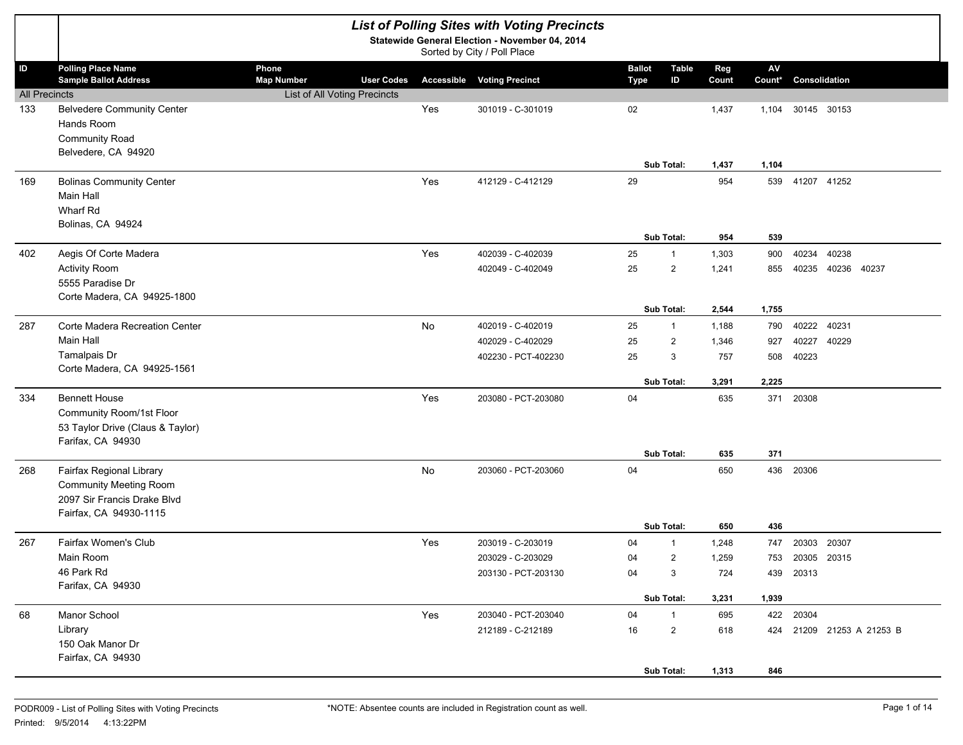|                            |                                                                                                                    |                                                                   |                   |     | <b>List of Polling Sites with Voting Precincts</b><br>Statewide General Election - November 04, 2014<br>Sorted by City / Poll Place |                              |                        |                       |                   |                              |                            |  |
|----------------------------|--------------------------------------------------------------------------------------------------------------------|-------------------------------------------------------------------|-------------------|-----|-------------------------------------------------------------------------------------------------------------------------------------|------------------------------|------------------------|-----------------------|-------------------|------------------------------|----------------------------|--|
| ID<br><b>All Precincts</b> | <b>Polling Place Name</b><br><b>Sample Ballot Address</b>                                                          | Phone<br><b>Map Number</b><br><b>List of All Voting Precincts</b> | <b>User Codes</b> |     | <b>Accessible Voting Precinct</b>                                                                                                   | <b>Ballot</b><br><b>Type</b> | Table<br>ID            | Reg<br>Count          | AV<br>Count*      | Consolidation                |                            |  |
| 133                        | <b>Belvedere Community Center</b><br>Hands Room<br><b>Community Road</b><br>Belvedere, CA 94920                    |                                                                   |                   | Yes | 301019 - C-301019                                                                                                                   | 02                           |                        | 1,437                 | 1,104             | 30145 30153                  |                            |  |
| 169                        | <b>Bolinas Community Center</b><br><b>Main Hall</b><br>Wharf Rd                                                    |                                                                   |                   | Yes | 412129 - C-412129                                                                                                                   | 29                           | Sub Total:             | 1,437<br>954          | 1,104             | 539 41207 41252              |                            |  |
|                            | Bolinas, CA 94924                                                                                                  |                                                                   |                   |     |                                                                                                                                     |                              | Sub Total:             | 954                   | 539               |                              |                            |  |
| 402                        | Aegis Of Corte Madera<br><b>Activity Room</b><br>5555 Paradise Dr<br>Corte Madera, CA 94925-1800                   |                                                                   |                   | Yes | 402039 - C-402039<br>402049 - C-402049                                                                                              | 25<br>25                     | $\mathbf{1}$<br>2      | 1,303<br>1,241        | 900<br>855        | 40234                        | 40238<br>40235 40236 40237 |  |
|                            |                                                                                                                    |                                                                   |                   |     |                                                                                                                                     |                              | Sub Total:             | 2,544                 | 1,755             |                              |                            |  |
| 287                        | Corte Madera Recreation Center<br><b>Main Hall</b><br>Tamalpais Dr<br>Corte Madera, CA 94925-1561                  |                                                                   |                   | No  | 402019 - C-402019<br>402029 - C-402029<br>402230 - PCT-402230                                                                       | 25<br>25<br>25               | $\mathbf{1}$<br>2<br>3 | 1,188<br>1,346<br>757 | 790<br>927<br>508 | 40222<br>40227<br>40223      | 40231<br>40229             |  |
|                            |                                                                                                                    |                                                                   |                   |     |                                                                                                                                     |                              | Sub Total:             | 3,291                 | 2,225             |                              |                            |  |
| 334                        | <b>Bennett House</b><br>Community Room/1st Floor<br>53 Taylor Drive (Claus & Taylor)<br>Farifax, CA 94930          |                                                                   |                   | Yes | 203080 - PCT-203080                                                                                                                 | 04                           |                        | 635                   | 371               | 20308                        |                            |  |
|                            |                                                                                                                    |                                                                   |                   |     |                                                                                                                                     |                              | Sub Total:             | 635                   | 371               |                              |                            |  |
| 268                        | Fairfax Regional Library<br><b>Community Meeting Room</b><br>2097 Sir Francis Drake Blvd<br>Fairfax, CA 94930-1115 |                                                                   |                   | No  | 203060 - PCT-203060                                                                                                                 | 04                           |                        | 650                   | 436               | 20306                        |                            |  |
|                            |                                                                                                                    |                                                                   |                   |     |                                                                                                                                     |                              | Sub Total:             | 650                   | 436               |                              |                            |  |
| 267                        | Fairfax Women's Club                                                                                               |                                                                   |                   | Yes | 203019 - C-203019                                                                                                                   | 04                           | $\mathbf{1}$           | 1,248                 | 747               | 20303 20307                  |                            |  |
|                            | Main Room<br>46 Park Rd                                                                                            |                                                                   |                   |     | 203029 - C-203029<br>203130 - PCT-203130                                                                                            | 04<br>04                     | $\overline{2}$<br>3    | 1,259<br>724          |                   | 753 20305 20315<br>439 20313 |                            |  |
|                            | Farifax, CA 94930                                                                                                  |                                                                   |                   |     |                                                                                                                                     |                              | Sub Total:             | 3,231                 | 1,939             |                              |                            |  |
| 68                         | Manor School                                                                                                       |                                                                   |                   | Yes | 203040 - PCT-203040                                                                                                                 | 04                           | $\mathbf{1}$           | 695                   |                   | 422 20304                    |                            |  |
|                            | Library<br>150 Oak Manor Dr<br>Fairfax, CA 94930                                                                   |                                                                   |                   |     | 212189 - C-212189                                                                                                                   | 16                           | $\overline{c}$         | 618                   |                   |                              | 424 21209 21253 A 21253 B  |  |
|                            |                                                                                                                    |                                                                   |                   |     |                                                                                                                                     |                              | Sub Total:             | 1,313                 | 846               |                              |                            |  |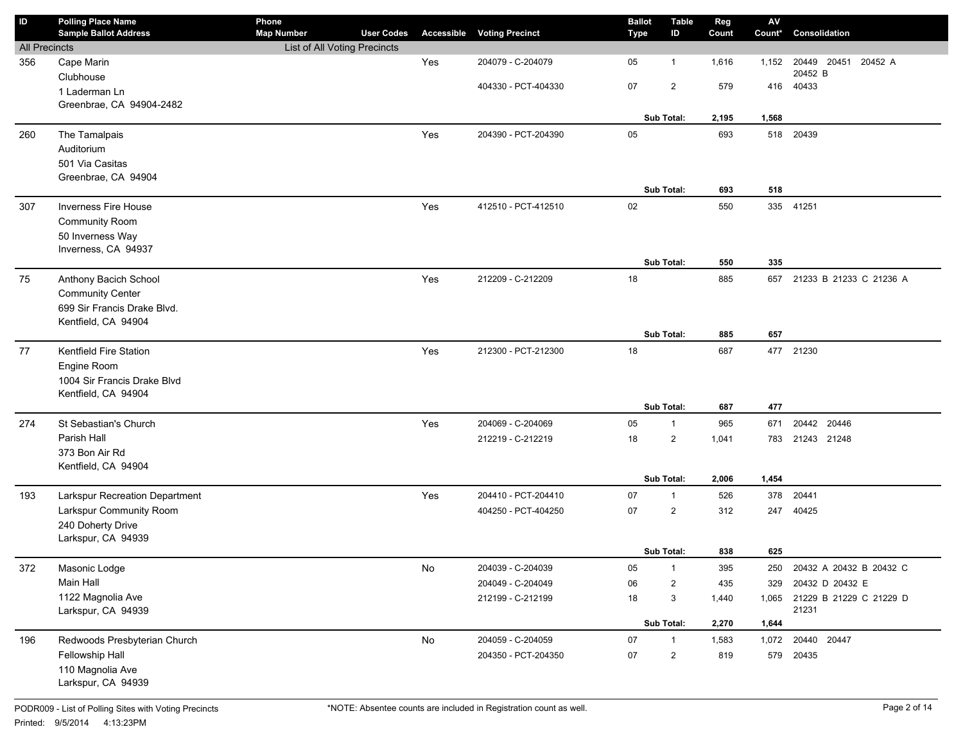| ID                   | <b>Polling Place Name</b><br><b>Sample Ballot Address</b> | Phone<br><b>Map Number</b>   | <b>User Codes</b> | Accessible | <b>Voting Precinct</b> | <b>Ballot</b><br>Type | <b>Table</b><br>ID | Reg<br>Count | $\mathsf{A}\mathsf{V}$<br>Count* | Consolidation                 |
|----------------------|-----------------------------------------------------------|------------------------------|-------------------|------------|------------------------|-----------------------|--------------------|--------------|----------------------------------|-------------------------------|
| <b>All Precincts</b> |                                                           | List of All Voting Precincts |                   |            |                        |                       |                    |              |                                  |                               |
| 356                  | Cape Marin                                                |                              |                   | Yes        | 204079 - C-204079      | 05                    | $\mathbf{1}$       | 1,616        | 1,152                            | 20449<br>20451<br>20452 A     |
|                      | Clubhouse                                                 |                              |                   |            |                        |                       |                    |              |                                  | 20452 B                       |
|                      | 1 Laderman Ln                                             |                              |                   |            | 404330 - PCT-404330    | 07                    | $\overline{2}$     | 579          | 416                              | 40433                         |
|                      | Greenbrae, CA 94904-2482                                  |                              |                   |            |                        |                       |                    |              |                                  |                               |
|                      |                                                           |                              |                   |            |                        |                       | Sub Total:         | 2,195        | 1,568                            |                               |
| 260                  | The Tamalpais                                             |                              |                   | Yes        | 204390 - PCT-204390    | 05                    |                    | 693          | 518                              | 20439                         |
|                      | Auditorium                                                |                              |                   |            |                        |                       |                    |              |                                  |                               |
|                      | 501 Via Casitas                                           |                              |                   |            |                        |                       |                    |              |                                  |                               |
|                      | Greenbrae, CA 94904                                       |                              |                   |            |                        |                       |                    |              |                                  |                               |
|                      |                                                           |                              |                   |            |                        |                       | Sub Total:         | 693          | 518                              |                               |
| 307                  | <b>Inverness Fire House</b>                               |                              |                   | Yes        | 412510 - PCT-412510    | 02                    |                    | 550          |                                  | 335 41251                     |
|                      | <b>Community Room</b>                                     |                              |                   |            |                        |                       |                    |              |                                  |                               |
|                      | 50 Inverness Way                                          |                              |                   |            |                        |                       |                    |              |                                  |                               |
|                      | Inverness, CA 94937                                       |                              |                   |            |                        |                       |                    |              |                                  |                               |
|                      |                                                           |                              |                   |            |                        |                       | Sub Total:         | 550          | 335                              |                               |
| 75                   | Anthony Bacich School                                     |                              |                   | Yes        | 212209 - C-212209      | 18                    |                    | 885          | 657                              | 21233 B 21233 C 21236 A       |
|                      | <b>Community Center</b>                                   |                              |                   |            |                        |                       |                    |              |                                  |                               |
|                      | 699 Sir Francis Drake Blvd.                               |                              |                   |            |                        |                       |                    |              |                                  |                               |
|                      | Kentfield, CA 94904                                       |                              |                   |            |                        |                       | Sub Total:         | 885          | 657                              |                               |
|                      |                                                           |                              |                   |            |                        |                       |                    |              |                                  |                               |
| 77                   | <b>Kentfield Fire Station</b>                             |                              |                   | Yes        | 212300 - PCT-212300    | 18                    |                    | 687          |                                  | 477 21230                     |
|                      | Engine Room                                               |                              |                   |            |                        |                       |                    |              |                                  |                               |
|                      | 1004 Sir Francis Drake Blvd<br>Kentfield, CA 94904        |                              |                   |            |                        |                       |                    |              |                                  |                               |
|                      |                                                           |                              |                   |            |                        |                       | Sub Total:         | 687          | 477                              |                               |
| 274                  | St Sebastian's Church                                     |                              |                   | Yes        | 204069 - C-204069      | 05                    | $\mathbf{1}$       | 965          | 671                              | 20442 20446                   |
|                      | Parish Hall                                               |                              |                   |            | 212219 - C-212219      | 18                    | $\overline{2}$     | 1,041        | 783                              | 21243 21248                   |
|                      | 373 Bon Air Rd                                            |                              |                   |            |                        |                       |                    |              |                                  |                               |
|                      | Kentfield, CA 94904                                       |                              |                   |            |                        |                       |                    |              |                                  |                               |
|                      |                                                           |                              |                   |            |                        |                       | Sub Total:         | 2,006        | 1,454                            |                               |
| 193                  | Larkspur Recreation Department                            |                              |                   | Yes        | 204410 - PCT-204410    | 07                    | 1                  | 526          | 378                              | 20441                         |
|                      | Larkspur Community Room                                   |                              |                   |            | 404250 - PCT-404250    | 07                    | $\overline{2}$     | 312          | 247                              | 40425                         |
|                      | 240 Doherty Drive                                         |                              |                   |            |                        |                       |                    |              |                                  |                               |
|                      | Larkspur, CA 94939                                        |                              |                   |            |                        |                       |                    |              |                                  |                               |
|                      |                                                           |                              |                   |            |                        |                       | Sub Total:         | 838          | 625                              |                               |
| 372                  | Masonic Lodge                                             |                              |                   | No         | 204039 - C-204039      | 05                    | $\mathbf{1}$       | 395          | 250                              | 20432 A 20432 B 20432 C       |
|                      | Main Hall                                                 |                              |                   |            | 204049 - C-204049      | 06                    | $\overline{2}$     | 435          | 329                              | 20432 D 20432 E               |
|                      | 1122 Magnolia Ave                                         |                              |                   |            | 212199 - C-212199      | 18                    | 3                  | 1,440        |                                  | 1,065 21229 B 21229 C 21229 D |
|                      | Larkspur, CA 94939                                        |                              |                   |            |                        |                       |                    |              |                                  | 21231                         |
|                      |                                                           |                              |                   |            |                        |                       | Sub Total:         | 2,270        | 1,644                            |                               |
| 196                  | Redwoods Presbyterian Church                              |                              |                   | No         | 204059 - C-204059      | 07                    | $\mathbf{1}$       | 1,583        | 1,072                            | 20440 20447                   |
|                      | Fellowship Hall                                           |                              |                   |            | 204350 - PCT-204350    | 07                    | $\overline{2}$     | 819          |                                  | 579 20435                     |
|                      | 110 Magnolia Ave                                          |                              |                   |            |                        |                       |                    |              |                                  |                               |
|                      | Larkspur, CA 94939                                        |                              |                   |            |                        |                       |                    |              |                                  |                               |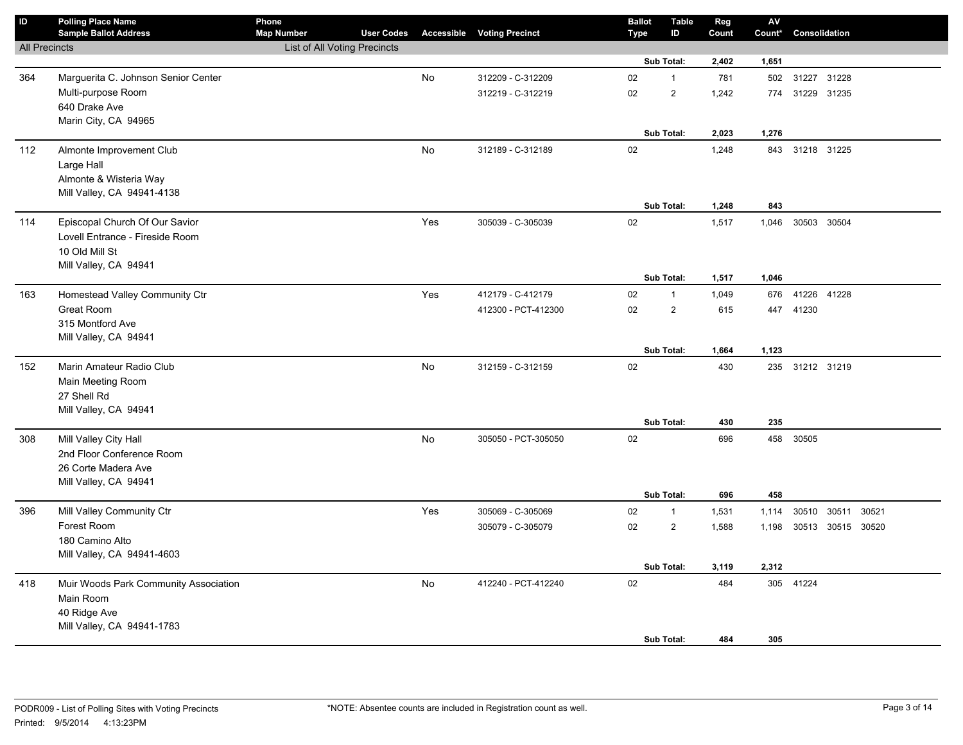| $\sf ID$             | <b>Polling Place Name</b><br><b>Sample Ballot Address</b> | Phone<br><b>Map Number</b>          | <b>User Codes</b> |           | <b>Accessible Voting Precinct</b> | <b>Ballot</b><br><b>Type</b> | <b>Table</b><br>ID | Reg<br>Count | AV<br>Count* | Consolidation     |  |
|----------------------|-----------------------------------------------------------|-------------------------------------|-------------------|-----------|-----------------------------------|------------------------------|--------------------|--------------|--------------|-------------------|--|
| <b>All Precincts</b> |                                                           | <b>List of All Voting Precincts</b> |                   |           |                                   |                              |                    |              |              |                   |  |
|                      |                                                           |                                     |                   |           |                                   |                              | Sub Total:         | 2,402        | 1,651        |                   |  |
| 364                  | Marguerita C. Johnson Senior Center                       |                                     |                   | No        | 312209 - C-312209                 | 02                           | $\mathbf{1}$       | 781          | 502          | 31227 31228       |  |
|                      | Multi-purpose Room                                        |                                     |                   |           | 312219 - C-312219                 | 02                           | $\sqrt{2}$         | 1,242        | 774          | 31229 31235       |  |
|                      | 640 Drake Ave                                             |                                     |                   |           |                                   |                              |                    |              |              |                   |  |
|                      | Marin City, CA 94965                                      |                                     |                   |           |                                   |                              |                    |              |              |                   |  |
|                      |                                                           |                                     |                   |           |                                   |                              | Sub Total:         | 2,023        | 1,276        |                   |  |
| 112                  | Almonte Improvement Club                                  |                                     |                   | No        | 312189 - C-312189                 | $02\,$                       |                    | 1,248        |              | 843 31218 31225   |  |
|                      | Large Hall                                                |                                     |                   |           |                                   |                              |                    |              |              |                   |  |
|                      | Almonte & Wisteria Way                                    |                                     |                   |           |                                   |                              |                    |              |              |                   |  |
|                      | Mill Valley, CA 94941-4138                                |                                     |                   |           |                                   |                              | Sub Total:         |              | 843          |                   |  |
|                      |                                                           |                                     |                   |           |                                   |                              |                    | 1,248        |              |                   |  |
| 114                  | Episcopal Church Of Our Savior                            |                                     |                   | Yes       | 305039 - C-305039                 | 02                           |                    | 1,517        | 1,046        | 30503 30504       |  |
|                      | Lovell Entrance - Fireside Room                           |                                     |                   |           |                                   |                              |                    |              |              |                   |  |
|                      | 10 Old Mill St<br>Mill Valley, CA 94941                   |                                     |                   |           |                                   |                              |                    |              |              |                   |  |
|                      |                                                           |                                     |                   |           |                                   |                              | Sub Total:         | 1,517        | 1,046        |                   |  |
| 163                  | Homestead Valley Community Ctr                            |                                     |                   | Yes       | 412179 - C-412179                 | 02                           | $\mathbf{1}$       | 1,049        | 676          | 41226 41228       |  |
|                      | Great Room                                                |                                     |                   |           | 412300 - PCT-412300               | 02                           | $\sqrt{2}$         | 615          | 447          | 41230             |  |
|                      | 315 Montford Ave                                          |                                     |                   |           |                                   |                              |                    |              |              |                   |  |
|                      | Mill Valley, CA 94941                                     |                                     |                   |           |                                   |                              |                    |              |              |                   |  |
|                      |                                                           |                                     |                   |           |                                   |                              | Sub Total:         | 1,664        | 1,123        |                   |  |
| 152                  | Marin Amateur Radio Club                                  |                                     |                   | <b>No</b> | 312159 - C-312159                 | $02\,$                       |                    | 430          |              | 235 31212 31219   |  |
|                      | Main Meeting Room                                         |                                     |                   |           |                                   |                              |                    |              |              |                   |  |
|                      | 27 Shell Rd                                               |                                     |                   |           |                                   |                              |                    |              |              |                   |  |
|                      | Mill Valley, CA 94941                                     |                                     |                   |           |                                   |                              |                    |              |              |                   |  |
|                      |                                                           |                                     |                   |           |                                   |                              | Sub Total:         | 430          | 235          |                   |  |
| 308                  | Mill Valley City Hall                                     |                                     |                   | No        | 305050 - PCT-305050               | 02                           |                    | 696          | 458          | 30505             |  |
|                      | 2nd Floor Conference Room                                 |                                     |                   |           |                                   |                              |                    |              |              |                   |  |
|                      | 26 Corte Madera Ave                                       |                                     |                   |           |                                   |                              |                    |              |              |                   |  |
|                      | Mill Valley, CA 94941                                     |                                     |                   |           |                                   |                              | Sub Total:         | 696          | 458          |                   |  |
| 396                  | Mill Valley Community Ctr                                 |                                     |                   | Yes       | 305069 - C-305069                 | 02                           | $\mathbf{1}$       | 1,531        | 1,114        | 30510 30511 30521 |  |
|                      | Forest Room                                               |                                     |                   |           | 305079 - C-305079                 | 02                           | $\sqrt{2}$         | 1,588        | 1,198        | 30513 30515 30520 |  |
|                      | 180 Camino Alto                                           |                                     |                   |           |                                   |                              |                    |              |              |                   |  |
|                      | Mill Valley, CA 94941-4603                                |                                     |                   |           |                                   |                              |                    |              |              |                   |  |
|                      |                                                           |                                     |                   |           |                                   |                              | Sub Total:         | 3,119        | 2,312        |                   |  |
| 418                  | Muir Woods Park Community Association                     |                                     |                   | No        | 412240 - PCT-412240               | $02\,$                       |                    | 484          |              | 305 41224         |  |
|                      | Main Room                                                 |                                     |                   |           |                                   |                              |                    |              |              |                   |  |
|                      | 40 Ridge Ave                                              |                                     |                   |           |                                   |                              |                    |              |              |                   |  |
|                      | Mill Valley, CA 94941-1783                                |                                     |                   |           |                                   |                              |                    |              |              |                   |  |
|                      |                                                           |                                     |                   |           |                                   |                              | Sub Total:         | 484          | 305          |                   |  |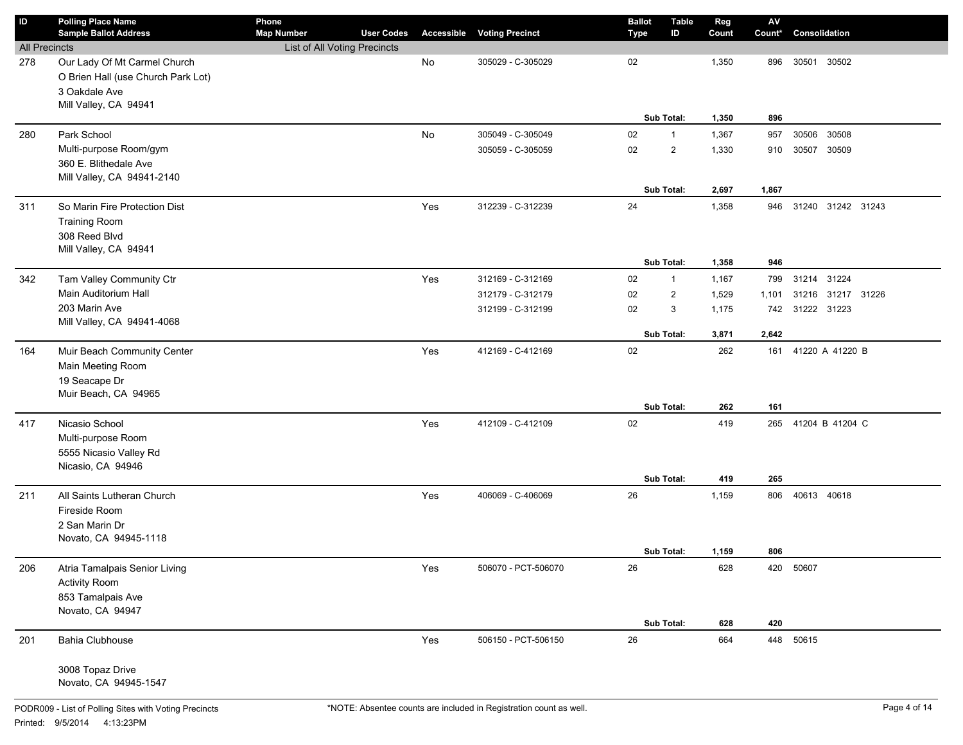| ID                   | <b>Polling Place Name</b>                                          | Phone                                                    |                   |            |                        | <b>Ballot</b> | <b>Table</b> | Reg   | $\mathsf{AV}$ |                     |  |
|----------------------|--------------------------------------------------------------------|----------------------------------------------------------|-------------------|------------|------------------------|---------------|--------------|-------|---------------|---------------------|--|
|                      | <b>Sample Ballot Address</b>                                       | <b>Map Number</b><br><b>List of All Voting Precincts</b> | <b>User Codes</b> | Accessible | <b>Voting Precinct</b> | <b>Type</b>   | ID           | Count | Count*        | Consolidation       |  |
| <b>All Precincts</b> |                                                                    |                                                          |                   |            |                        |               |              |       |               |                     |  |
| 278                  | Our Lady Of Mt Carmel Church<br>O Brien Hall (use Church Park Lot) |                                                          |                   | No         | 305029 - C-305029      | 02            |              | 1,350 | 896           | 30501<br>30502      |  |
|                      | 3 Oakdale Ave                                                      |                                                          |                   |            |                        |               |              |       |               |                     |  |
|                      | Mill Valley, CA 94941                                              |                                                          |                   |            |                        |               |              |       |               |                     |  |
|                      |                                                                    |                                                          |                   |            |                        |               | Sub Total:   | 1,350 | 896           |                     |  |
| 280                  | Park School                                                        |                                                          |                   | No         | 305049 - C-305049      | 02            | $\mathbf{1}$ | 1,367 | 957           | 30506<br>30508      |  |
|                      | Multi-purpose Room/gym                                             |                                                          |                   |            | 305059 - C-305059      | 02            | 2            | 1,330 | 910           | 30507<br>30509      |  |
|                      | 360 E. Blithedale Ave                                              |                                                          |                   |            |                        |               |              |       |               |                     |  |
|                      | Mill Valley, CA 94941-2140                                         |                                                          |                   |            |                        |               |              |       |               |                     |  |
|                      |                                                                    |                                                          |                   |            |                        |               | Sub Total:   | 2,697 | 1,867         |                     |  |
| 311                  | So Marin Fire Protection Dist                                      |                                                          |                   | Yes        | 312239 - C-312239      | 24            |              | 1,358 | 946           | 31240 31242 31243   |  |
|                      | <b>Training Room</b>                                               |                                                          |                   |            |                        |               |              |       |               |                     |  |
|                      | 308 Reed Blvd                                                      |                                                          |                   |            |                        |               |              |       |               |                     |  |
|                      | Mill Valley, CA 94941                                              |                                                          |                   |            |                        |               |              |       |               |                     |  |
|                      |                                                                    |                                                          |                   |            |                        |               | Sub Total:   | 1,358 | 946           |                     |  |
| 342                  | Tam Valley Community Ctr                                           |                                                          |                   | Yes        | 312169 - C-312169      | 02            | $\mathbf{1}$ | 1,167 | 799           | 31214 31224         |  |
|                      | Main Auditorium Hall                                               |                                                          |                   |            | 312179 - C-312179      | 02            | 2            | 1,529 | 1,101         | 31216 31217 31226   |  |
|                      | 203 Marin Ave                                                      |                                                          |                   |            | 312199 - C-312199      | 02            | 3            | 1,175 | 742           | 31222 31223         |  |
|                      | Mill Valley, CA 94941-4068                                         |                                                          |                   |            |                        |               |              |       |               |                     |  |
|                      |                                                                    |                                                          |                   |            |                        |               | Sub Total:   | 3,871 | 2,642         |                     |  |
| 164                  | Muir Beach Community Center                                        |                                                          |                   | Yes        | 412169 - C-412169      | 02            |              | 262   | 161           | 41220 A 41220 B     |  |
|                      | Main Meeting Room                                                  |                                                          |                   |            |                        |               |              |       |               |                     |  |
|                      | 19 Seacape Dr                                                      |                                                          |                   |            |                        |               |              |       |               |                     |  |
|                      | Muir Beach, CA 94965                                               |                                                          |                   |            |                        |               | Sub Total:   | 262   | 161           |                     |  |
|                      |                                                                    |                                                          |                   |            |                        |               |              |       |               |                     |  |
| 417                  | Nicasio School                                                     |                                                          |                   | Yes        | 412109 - C-412109      | 02            |              | 419   |               | 265 41204 B 41204 C |  |
|                      | Multi-purpose Room<br>5555 Nicasio Valley Rd                       |                                                          |                   |            |                        |               |              |       |               |                     |  |
|                      | Nicasio, CA 94946                                                  |                                                          |                   |            |                        |               |              |       |               |                     |  |
|                      |                                                                    |                                                          |                   |            |                        |               | Sub Total:   | 419   | 265           |                     |  |
| 211                  | All Saints Lutheran Church                                         |                                                          |                   | Yes        | 406069 - C-406069      | 26            |              | 1,159 | 806           | 40613 40618         |  |
|                      | Fireside Room                                                      |                                                          |                   |            |                        |               |              |       |               |                     |  |
|                      | 2 San Marin Dr                                                     |                                                          |                   |            |                        |               |              |       |               |                     |  |
|                      | Novato, CA 94945-1118                                              |                                                          |                   |            |                        |               |              |       |               |                     |  |
|                      |                                                                    |                                                          |                   |            |                        |               | Sub Total:   | 1,159 | 806           |                     |  |
| 206                  | Atria Tamalpais Senior Living                                      |                                                          |                   | Yes        | 506070 - PCT-506070    | 26            |              | 628   |               | 420 50607           |  |
|                      | <b>Activity Room</b>                                               |                                                          |                   |            |                        |               |              |       |               |                     |  |
|                      | 853 Tamalpais Ave                                                  |                                                          |                   |            |                        |               |              |       |               |                     |  |
|                      | Novato, CA 94947                                                   |                                                          |                   |            |                        |               |              |       |               |                     |  |
|                      |                                                                    |                                                          |                   |            |                        |               | Sub Total:   | 628   | 420           |                     |  |
| 201                  | Bahia Clubhouse                                                    |                                                          |                   | Yes        | 506150 - PCT-506150    | 26            |              | 664   |               | 448 50615           |  |
|                      | 3008 Topaz Drive                                                   |                                                          |                   |            |                        |               |              |       |               |                     |  |
|                      | Novato, CA 94945-1547                                              |                                                          |                   |            |                        |               |              |       |               |                     |  |
|                      |                                                                    |                                                          |                   |            |                        |               |              |       |               |                     |  |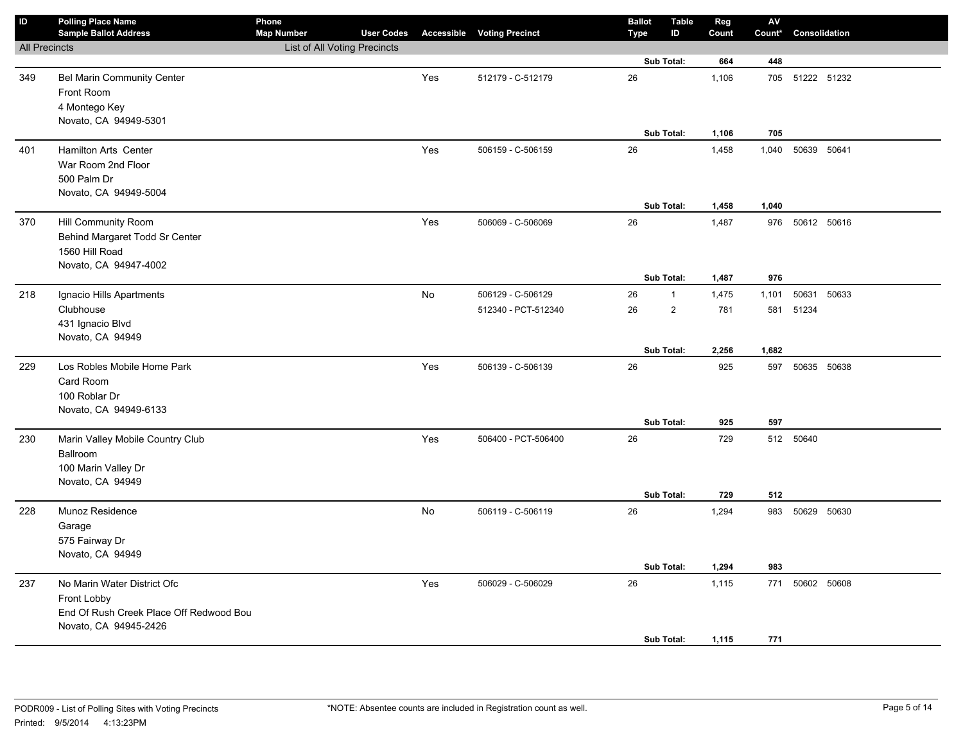| $\mathsf{ID}$        | <b>Polling Place Name</b><br><b>Sample Ballot Address</b>                                                      | Phone<br><b>Map Number</b>   | <b>User Codes</b> |     | <b>Accessible Voting Precinct</b> | <b>Ballot</b><br><b>Type</b> | <b>Table</b><br>ID | Reg<br>Count   | ${\sf AV}$<br>Count* | Consolidation |  |
|----------------------|----------------------------------------------------------------------------------------------------------------|------------------------------|-------------------|-----|-----------------------------------|------------------------------|--------------------|----------------|----------------------|---------------|--|
| <b>All Precincts</b> |                                                                                                                | List of All Voting Precincts |                   |     |                                   |                              |                    |                |                      |               |  |
|                      |                                                                                                                |                              |                   |     |                                   |                              | Sub Total:         | 664            | 448                  |               |  |
| 349                  | Bel Marin Community Center<br>Front Room<br>4 Montego Key<br>Novato, CA 94949-5301                             |                              |                   | Yes | 512179 - C-512179                 | 26                           |                    | 1,106          | 705                  | 51222 51232   |  |
|                      |                                                                                                                |                              |                   |     |                                   |                              | Sub Total:         | 1,106          | 705                  |               |  |
| 401                  | <b>Hamilton Arts Center</b><br>War Room 2nd Floor<br>500 Palm Dr<br>Novato, CA 94949-5004                      |                              |                   | Yes | 506159 - C-506159                 | 26                           |                    | 1,458          | 1,040                | 50639 50641   |  |
|                      |                                                                                                                |                              |                   |     |                                   |                              | Sub Total:         | 1,458          | 1,040                |               |  |
| 370                  | Hill Community Room<br>Behind Margaret Todd Sr Center<br>1560 Hill Road<br>Novato, CA 94947-4002               |                              |                   | Yes | 506069 - C-506069                 | 26                           | Sub Total:         | 1,487<br>1,487 | 976<br>976           | 50612 50616   |  |
| 218                  | Ignacio Hills Apartments                                                                                       |                              |                   | No  | 506129 - C-506129                 | 26                           | $\mathbf{1}$       | 1,475          | 1,101                | 50631 50633   |  |
|                      | Clubhouse<br>431 Ignacio Blvd<br>Novato, CA 94949                                                              |                              |                   |     | 512340 - PCT-512340               | 26                           | $\overline{2}$     | 781            | 581                  | 51234         |  |
|                      |                                                                                                                |                              |                   |     |                                   |                              | Sub Total:         | 2,256          | 1,682                |               |  |
| 229                  | Los Robles Mobile Home Park<br>Card Room<br>100 Roblar Dr<br>Novato, CA 94949-6133                             |                              |                   | Yes | 506139 - C-506139                 | 26                           |                    | 925            | 597                  | 50635 50638   |  |
|                      |                                                                                                                |                              |                   |     |                                   |                              | Sub Total:         | 925            | 597                  |               |  |
| 230                  | Marin Valley Mobile Country Club<br>Ballroom<br>100 Marin Valley Dr<br>Novato, CA 94949                        |                              |                   | Yes | 506400 - PCT-506400               | 26                           | Sub Total:         | 729<br>729     | 512<br>512           | 50640         |  |
| 228                  | Munoz Residence<br>Garage<br>575 Fairway Dr<br>Novato, CA 94949                                                |                              |                   | No  | 506119 - C-506119                 | 26                           | Sub Total:         | 1,294<br>1,294 | 983<br>983           | 50629 50630   |  |
|                      |                                                                                                                |                              |                   |     |                                   |                              |                    |                |                      |               |  |
| 237                  | No Marin Water District Ofc<br>Front Lobby<br>End Of Rush Creek Place Off Redwood Bou<br>Novato, CA 94945-2426 |                              |                   | Yes | 506029 - C-506029                 | 26                           | Sub Total:         | 1,115<br>1,115 | 771<br>771           | 50602 50608   |  |
|                      |                                                                                                                |                              |                   |     |                                   |                              |                    |                |                      |               |  |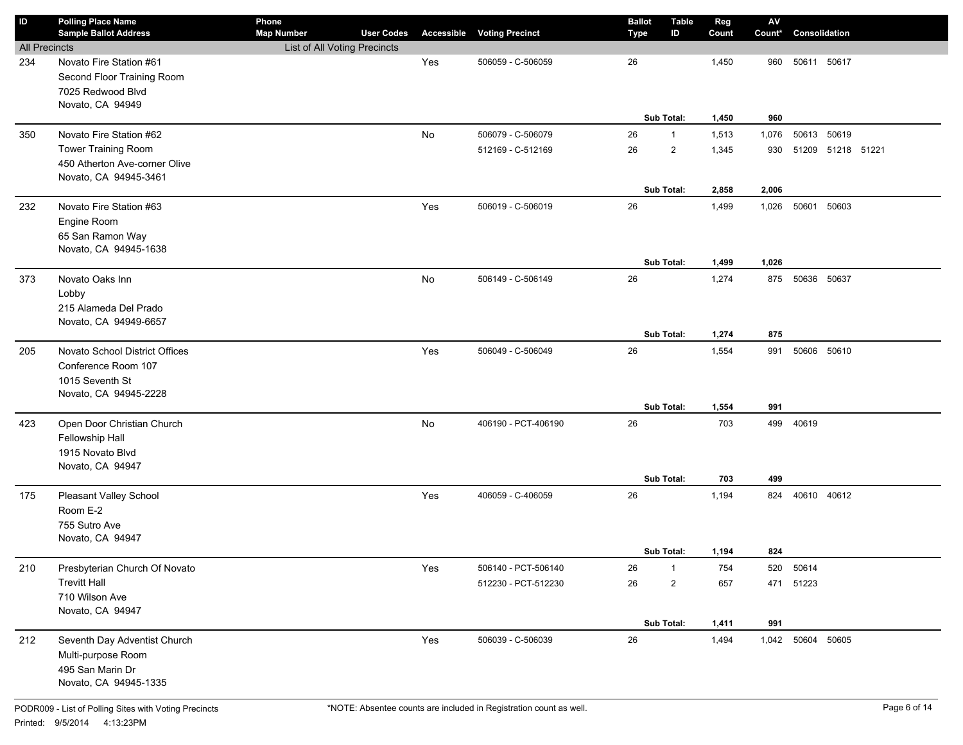| ID                   | <b>Polling Place Name</b>                              | Phone                        |                   |     |                                   | <b>Ballot</b> | <b>Table</b>   | Reg   | $\mathsf{A}\mathsf{V}$ |                   |  |
|----------------------|--------------------------------------------------------|------------------------------|-------------------|-----|-----------------------------------|---------------|----------------|-------|------------------------|-------------------|--|
|                      | <b>Sample Ballot Address</b>                           | <b>Map Number</b>            | <b>User Codes</b> |     | <b>Accessible Voting Precinct</b> | Type          | ID             | Count | Count*                 | Consolidation     |  |
| <b>All Precincts</b> |                                                        | List of All Voting Precincts |                   |     |                                   |               |                |       |                        |                   |  |
| 234                  | Novato Fire Station #61                                |                              |                   | Yes | 506059 - C-506059                 | 26            |                | 1,450 | 960                    | 50611 50617       |  |
|                      | Second Floor Training Room                             |                              |                   |     |                                   |               |                |       |                        |                   |  |
|                      | 7025 Redwood Blvd                                      |                              |                   |     |                                   |               |                |       |                        |                   |  |
|                      | Novato, CA 94949                                       |                              |                   |     |                                   |               | Sub Total:     | 1,450 | 960                    |                   |  |
|                      | Novato Fire Station #62                                |                              |                   |     |                                   |               |                |       |                        |                   |  |
| 350                  |                                                        |                              |                   | No  | 506079 - C-506079                 | 26            | $\mathbf{1}$   | 1,513 | 1,076                  | 50613 50619       |  |
|                      | Tower Training Room                                    |                              |                   |     | 512169 - C-512169                 | 26            | $\overline{2}$ | 1,345 | 930                    | 51209 51218 51221 |  |
|                      | 450 Atherton Ave-corner Olive<br>Novato, CA 94945-3461 |                              |                   |     |                                   |               |                |       |                        |                   |  |
|                      |                                                        |                              |                   |     |                                   |               | Sub Total:     | 2,858 | 2,006                  |                   |  |
| 232                  | Novato Fire Station #63                                |                              |                   | Yes | 506019 - C-506019                 | 26            |                | 1,499 | 1,026                  | 50601 50603       |  |
|                      | Engine Room                                            |                              |                   |     |                                   |               |                |       |                        |                   |  |
|                      | 65 San Ramon Way                                       |                              |                   |     |                                   |               |                |       |                        |                   |  |
|                      | Novato, CA 94945-1638                                  |                              |                   |     |                                   |               |                |       |                        |                   |  |
|                      |                                                        |                              |                   |     |                                   |               | Sub Total:     | 1,499 | 1,026                  |                   |  |
| 373                  | Novato Oaks Inn                                        |                              |                   | No  | 506149 - C-506149                 | 26            |                | 1,274 | 875                    | 50636 50637       |  |
|                      | Lobby                                                  |                              |                   |     |                                   |               |                |       |                        |                   |  |
|                      | 215 Alameda Del Prado                                  |                              |                   |     |                                   |               |                |       |                        |                   |  |
|                      | Novato, CA 94949-6657                                  |                              |                   |     |                                   |               |                |       |                        |                   |  |
|                      |                                                        |                              |                   |     |                                   |               | Sub Total:     | 1,274 | 875                    |                   |  |
| 205                  | Novato School District Offices                         |                              |                   | Yes | 506049 - C-506049                 | 26            |                | 1,554 | 991                    | 50606 50610       |  |
|                      | Conference Room 107                                    |                              |                   |     |                                   |               |                |       |                        |                   |  |
|                      | 1015 Seventh St                                        |                              |                   |     |                                   |               |                |       |                        |                   |  |
|                      | Novato, CA 94945-2228                                  |                              |                   |     |                                   |               |                |       |                        |                   |  |
|                      |                                                        |                              |                   |     |                                   |               | Sub Total:     | 1,554 | 991                    |                   |  |
| 423                  | Open Door Christian Church                             |                              |                   | No  | 406190 - PCT-406190               | 26            |                | 703   |                        | 499 40619         |  |
|                      | Fellowship Hall                                        |                              |                   |     |                                   |               |                |       |                        |                   |  |
|                      | 1915 Novato Blvd                                       |                              |                   |     |                                   |               |                |       |                        |                   |  |
|                      | Novato, CA 94947                                       |                              |                   |     |                                   |               |                |       |                        |                   |  |
|                      |                                                        |                              |                   |     |                                   |               | Sub Total:     | 703   | 499                    |                   |  |
| 175                  | Pleasant Valley School                                 |                              |                   | Yes | 406059 - C-406059                 | 26            |                | 1,194 | 824                    | 40610 40612       |  |
|                      | Room E-2                                               |                              |                   |     |                                   |               |                |       |                        |                   |  |
|                      | 755 Sutro Ave                                          |                              |                   |     |                                   |               |                |       |                        |                   |  |
|                      | Novato, CA 94947                                       |                              |                   |     |                                   |               |                |       |                        |                   |  |
|                      |                                                        |                              |                   |     |                                   |               | Sub Total:     | 1,194 | 824                    |                   |  |
| 210                  | Presbyterian Church Of Novato                          |                              |                   | Yes | 506140 - PCT-506140               | 26            | $\mathbf{1}$   | 754   | 520                    | 50614             |  |
|                      | <b>Trevitt Hall</b>                                    |                              |                   |     | 512230 - PCT-512230               | 26            | $\overline{2}$ | 657   | 471                    | 51223             |  |
|                      | 710 Wilson Ave                                         |                              |                   |     |                                   |               |                |       |                        |                   |  |
|                      | Novato, CA 94947                                       |                              |                   |     |                                   |               | Sub Total:     | 1,411 | 991                    |                   |  |
|                      |                                                        |                              |                   |     | 506039 - C-506039                 | 26            |                |       |                        | 1,042 50604 50605 |  |
| 212                  | Seventh Day Adventist Church                           |                              |                   | Yes |                                   |               |                | 1,494 |                        |                   |  |
|                      | Multi-purpose Room                                     |                              |                   |     |                                   |               |                |       |                        |                   |  |
|                      | 495 San Marin Dr<br>Novato, CA 94945-1335              |                              |                   |     |                                   |               |                |       |                        |                   |  |
|                      |                                                        |                              |                   |     |                                   |               |                |       |                        |                   |  |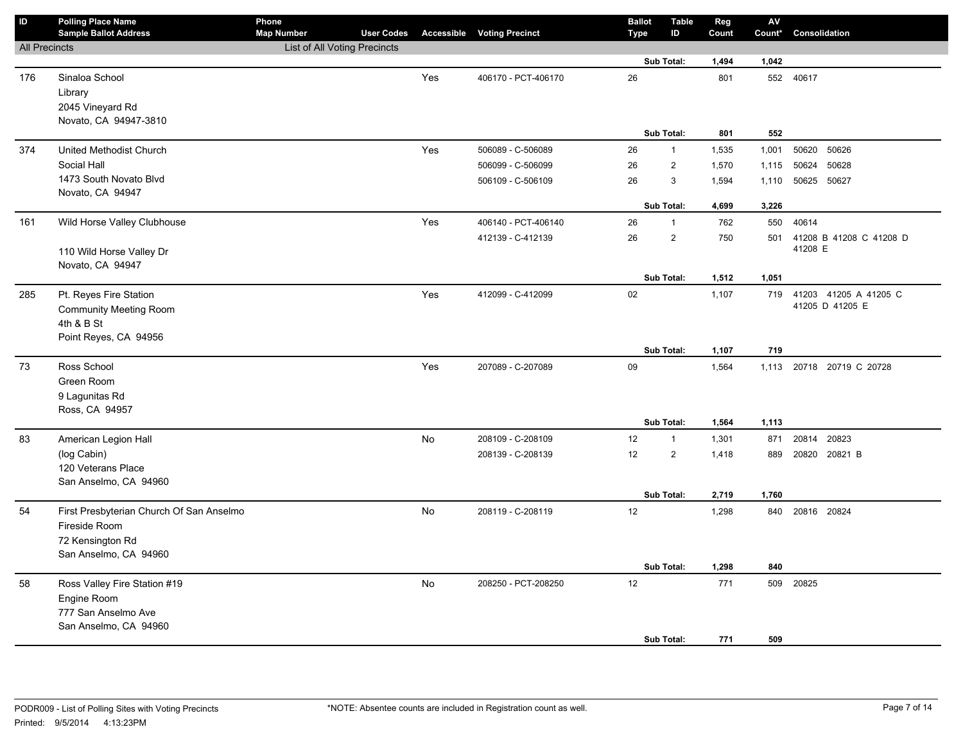| ID                   | <b>Polling Place Name</b><br><b>Sample Ballot Address</b>             | Phone<br><b>Map Number</b>   | <b>User Codes</b> |           | <b>Accessible Voting Precinct</b> | <b>Ballot</b><br>Type | <b>Table</b><br>ID           | Reg<br>Count   | ${\sf AV}$<br>Count* | Consolidation                                |
|----------------------|-----------------------------------------------------------------------|------------------------------|-------------------|-----------|-----------------------------------|-----------------------|------------------------------|----------------|----------------------|----------------------------------------------|
| <b>All Precincts</b> |                                                                       | List of All Voting Precincts |                   |           |                                   |                       |                              |                |                      |                                              |
|                      |                                                                       |                              |                   |           |                                   |                       | Sub Total:                   | 1,494          | 1,042                |                                              |
| 176                  | Sinaloa School<br>Library<br>2045 Vineyard Rd                         |                              |                   | Yes       | 406170 - PCT-406170               | 26                    |                              | 801            |                      | 552 40617                                    |
|                      | Novato, CA 94947-3810                                                 |                              |                   |           |                                   |                       |                              |                |                      |                                              |
|                      |                                                                       |                              |                   |           |                                   |                       | Sub Total:                   | 801            | 552                  |                                              |
| 374                  | United Methodist Church                                               |                              |                   | Yes       | 506089 - C-506089                 | 26                    | $\mathbf{1}$                 | 1,535          | 1,001                | 50620 50626                                  |
|                      | Social Hall                                                           |                              |                   |           | 506099 - C-506099                 | 26                    | $\overline{2}$               | 1,570          | 1,115                | 50628<br>50624                               |
|                      | 1473 South Novato Blvd                                                |                              |                   |           | 506109 - C-506109                 | 26                    | 3                            | 1,594          | 1,110                | 50625 50627                                  |
|                      | Novato, CA 94947                                                      |                              |                   |           |                                   |                       | Sub Total:                   | 4,699          | 3,226                |                                              |
| 161                  | Wild Horse Valley Clubhouse                                           |                              |                   | Yes       | 406140 - PCT-406140               | 26                    | $\mathbf{1}$                 | 762            | 550                  | 40614                                        |
|                      | 110 Wild Horse Valley Dr                                              |                              |                   |           | 412139 - C-412139                 | 26                    | $\overline{\mathbf{c}}$      | 750            | 501                  | 41208 B 41208 C 41208 D<br>41208 E           |
|                      | Novato, CA 94947                                                      |                              |                   |           |                                   |                       | Sub Total:                   | 1,512          | 1,051                |                                              |
| 285                  | Pt. Reyes Fire Station<br><b>Community Meeting Room</b><br>4th & B St |                              |                   | Yes       | 412099 - C-412099                 | 02                    |                              | 1,107          |                      | 719 41203 41205 A 41205 C<br>41205 D 41205 E |
|                      | Point Reyes, CA 94956                                                 |                              |                   |           |                                   |                       | Sub Total:                   | 1,107          | 719                  |                                              |
| 73                   | Ross School<br>Green Room<br>9 Lagunitas Rd<br>Ross, CA 94957         |                              |                   | Yes       | 207089 - C-207089                 | 09                    |                              | 1,564          |                      | 1,113 20718 20719 C 20728                    |
|                      |                                                                       |                              |                   |           |                                   |                       | Sub Total:                   | 1,564          | 1,113                |                                              |
| 83                   | American Legion Hall                                                  |                              |                   | No        | 208109 - C-208109                 | 12                    | $\mathbf{1}$                 | 1,301          | 871                  | 20814 20823                                  |
|                      | (log Cabin)<br>120 Veterans Place<br>San Anselmo, CA 94960            |                              |                   |           | 208139 - C-208139                 | 12                    | $\overline{2}$<br>Sub Total: | 1,418<br>2,719 | 889<br>1,760         | 20820 20821 B                                |
| 54                   | First Presbyterian Church Of San Anselmo                              |                              |                   | No        | 208119 - C-208119                 | 12                    |                              | 1,298          |                      | 840 20816 20824                              |
|                      | Fireside Room<br>72 Kensington Rd<br>San Anselmo, CA 94960            |                              |                   |           |                                   |                       | Sub Total:                   | 1,298          | 840                  |                                              |
| 58                   | Ross Valley Fire Station #19                                          |                              |                   | <b>No</b> | 208250 - PCT-208250               | 12                    |                              | 771            | 509                  | 20825                                        |
|                      | Engine Room<br>777 San Anselmo Ave<br>San Anselmo, CA 94960           |                              |                   |           |                                   |                       |                              |                |                      |                                              |
|                      |                                                                       |                              |                   |           |                                   |                       | <b>Sub Total:</b>            | 771            | 509                  |                                              |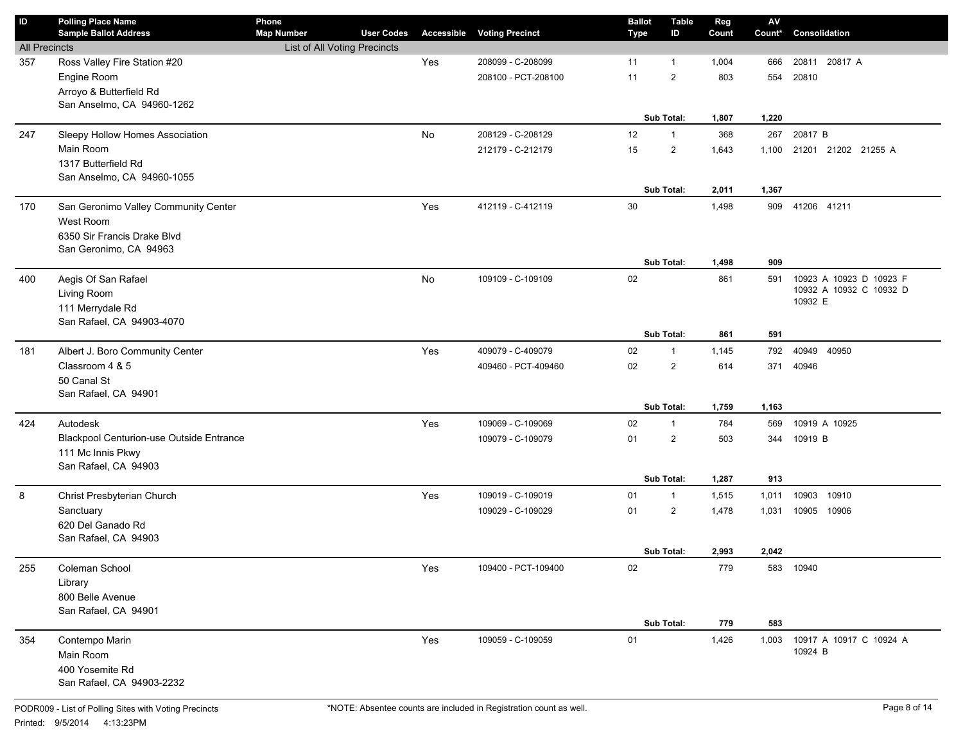| $\mathsf{ID}$        | <b>Polling Place Name</b><br><b>Sample Ballot Address</b>   | Phone<br><b>Map Number</b>   | <b>User Codes</b> | <b>Accessible</b> | <b>Voting Precinct</b> | <b>Ballot</b><br><b>Type</b> | <b>Table</b><br>ID | Reg<br>Count | $\mathsf{AV}$<br>Count* | Consolidation                      |
|----------------------|-------------------------------------------------------------|------------------------------|-------------------|-------------------|------------------------|------------------------------|--------------------|--------------|-------------------------|------------------------------------|
| <b>All Precincts</b> |                                                             | List of All Voting Precincts |                   |                   |                        |                              |                    |              |                         |                                    |
| 357                  | Ross Valley Fire Station #20                                |                              |                   | Yes               | 208099 - C-208099      | 11                           | 1                  | 1,004        | 666                     | 20811 20817 A                      |
|                      | Engine Room                                                 |                              |                   |                   | 208100 - PCT-208100    | 11                           | $\overline{2}$     | 803          | 554                     | 20810                              |
|                      | Arroyo & Butterfield Rd                                     |                              |                   |                   |                        |                              |                    |              |                         |                                    |
|                      | San Anselmo, CA 94960-1262                                  |                              |                   |                   |                        |                              |                    |              |                         |                                    |
|                      |                                                             |                              |                   |                   |                        |                              | Sub Total:         | 1,807        | 1,220                   |                                    |
| 247                  | Sleepy Hollow Homes Association                             |                              |                   | No                | 208129 - C-208129      | 12                           | $\mathbf{1}$       | 368          | 267                     | 20817 B                            |
|                      | Main Room                                                   |                              |                   |                   | 212179 - C-212179      | 15                           | $\overline{2}$     | 1,643        | 1,100                   | 21201 21202 21255 A                |
|                      | 1317 Butterfield Rd                                         |                              |                   |                   |                        |                              |                    |              |                         |                                    |
|                      | San Anselmo, CA 94960-1055                                  |                              |                   |                   |                        |                              | Sub Total:         | 2,011        | 1,367                   |                                    |
| 170                  | San Geronimo Valley Community Center                        |                              |                   | Yes               | 412119 - C-412119      | 30                           |                    | 1,498        | 909                     | 41206 41211                        |
|                      | West Room                                                   |                              |                   |                   |                        |                              |                    |              |                         |                                    |
|                      | 6350 Sir Francis Drake Blvd                                 |                              |                   |                   |                        |                              |                    |              |                         |                                    |
|                      | San Geronimo, CA 94963                                      |                              |                   |                   |                        |                              |                    |              |                         |                                    |
|                      |                                                             |                              |                   |                   |                        |                              | Sub Total:         | 1,498        | 909                     |                                    |
| 400                  | Aegis Of San Rafael                                         |                              |                   | No                | 109109 - C-109109      | 02                           |                    | 861          | 591                     | 10923 A 10923 D 10923 F            |
|                      | Living Room                                                 |                              |                   |                   |                        |                              |                    |              |                         | 10932 A 10932 C 10932 D            |
|                      | 111 Merrydale Rd                                            |                              |                   |                   |                        |                              |                    |              |                         | 10932 E                            |
|                      | San Rafael, CA 94903-4070                                   |                              |                   |                   |                        |                              |                    |              |                         |                                    |
|                      |                                                             |                              |                   |                   |                        |                              | Sub Total:         | 861          | 591                     |                                    |
| 181                  | Albert J. Boro Community Center                             |                              |                   | Yes               | 409079 - C-409079      | 02                           | 1                  | 1,145        | 792                     | 40949<br>40950                     |
|                      | Classroom 4 & 5                                             |                              |                   |                   | 409460 - PCT-409460    | 02                           | $\overline{2}$     | 614          | 371                     | 40946                              |
|                      | 50 Canal St                                                 |                              |                   |                   |                        |                              |                    |              |                         |                                    |
|                      | San Rafael, CA 94901                                        |                              |                   |                   |                        |                              |                    |              |                         |                                    |
|                      |                                                             |                              |                   |                   |                        |                              | Sub Total:         | 1,759        | 1,163                   |                                    |
| 424                  | Autodesk<br><b>Blackpool Centurion-use Outside Entrance</b> |                              |                   | Yes               | 109069 - C-109069      | 02                           | 1                  | 784          | 569                     | 10919 A 10925                      |
|                      | 111 Mc Innis Pkwy                                           |                              |                   |                   | 109079 - C-109079      | 01                           | $\overline{2}$     | 503          | 344                     | 10919 B                            |
|                      | San Rafael, CA 94903                                        |                              |                   |                   |                        |                              |                    |              |                         |                                    |
|                      |                                                             |                              |                   |                   |                        |                              | Sub Total:         | 1,287        | 913                     |                                    |
| 8                    | Christ Presbyterian Church                                  |                              |                   | Yes               | 109019 - C-109019      | 01                           | $\mathbf{1}$       | 1,515        | 1,011                   | 10903<br>10910                     |
|                      | Sanctuary                                                   |                              |                   |                   | 109029 - C-109029      | 01                           | $\overline{2}$     | 1,478        | 1,031                   | 10905 10906                        |
|                      | 620 Del Ganado Rd                                           |                              |                   |                   |                        |                              |                    |              |                         |                                    |
|                      | San Rafael, CA 94903                                        |                              |                   |                   |                        |                              |                    |              |                         |                                    |
|                      |                                                             |                              |                   |                   |                        |                              | Sub Total:         | 2,993        | 2,042                   |                                    |
| 255                  | Coleman School                                              |                              |                   | Yes               | 109400 - PCT-109400    | 02                           |                    | 779          |                         | 583 10940                          |
|                      | Library                                                     |                              |                   |                   |                        |                              |                    |              |                         |                                    |
|                      | 800 Belle Avenue                                            |                              |                   |                   |                        |                              |                    |              |                         |                                    |
|                      | San Rafael, CA 94901                                        |                              |                   |                   |                        |                              |                    |              |                         |                                    |
|                      |                                                             |                              |                   |                   |                        |                              | Sub Total:         | 779          | 583                     |                                    |
| 354                  | Contempo Marin                                              |                              |                   | Yes               | 109059 - C-109059      | 01                           |                    | 1,426        | 1,003                   | 10917 A 10917 C 10924 A<br>10924 B |
|                      | Main Room                                                   |                              |                   |                   |                        |                              |                    |              |                         |                                    |
|                      | 400 Yosemite Rd<br>San Rafael, CA 94903-2232                |                              |                   |                   |                        |                              |                    |              |                         |                                    |
|                      |                                                             |                              |                   |                   |                        |                              |                    |              |                         |                                    |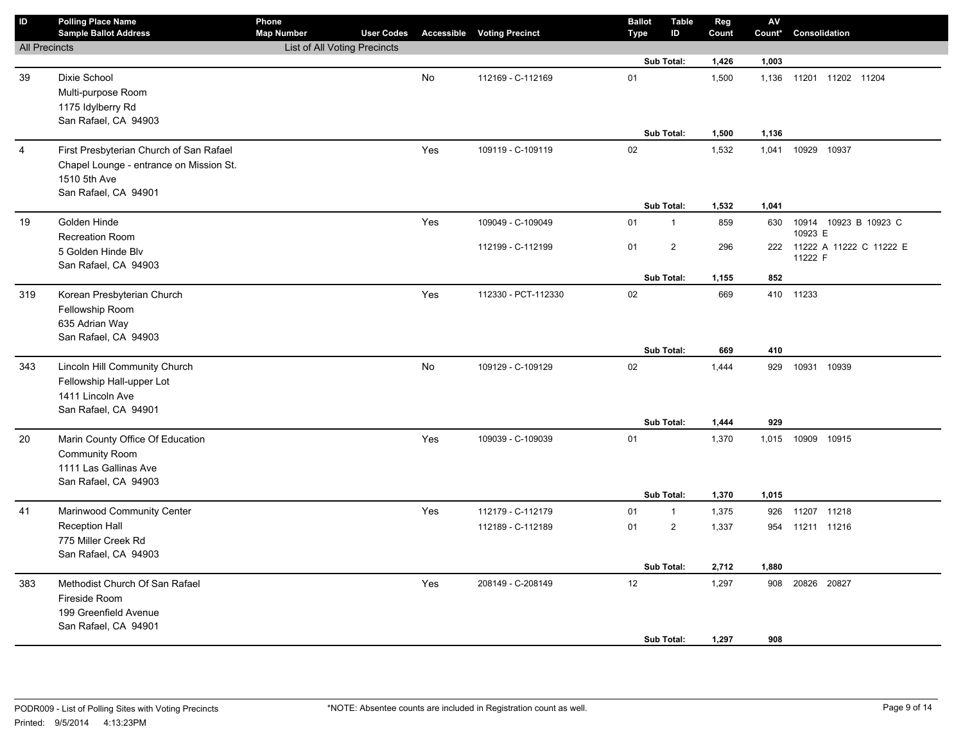| ID                   | <b>Polling Place Name</b><br><b>Sample Ballot Address</b> | Phone<br><b>Map Number</b>   | <b>User Codes</b> |           | <b>Accessible Voting Precinct</b> | <b>Ballot</b><br><b>Type</b> | <b>Table</b><br>ID | Reg<br>Count | ${\sf AV}$<br>Count* | Consolidation                    |
|----------------------|-----------------------------------------------------------|------------------------------|-------------------|-----------|-----------------------------------|------------------------------|--------------------|--------------|----------------------|----------------------------------|
| <b>All Precincts</b> |                                                           | List of All Voting Precincts |                   |           |                                   |                              |                    |              |                      |                                  |
|                      |                                                           |                              |                   |           |                                   |                              | Sub Total:         | 1,426        | 1,003                |                                  |
| 39                   | Dixie School                                              |                              |                   | No        | 112169 - C-112169                 | 01                           |                    | 1,500        | 1,136                | 11201 11202 11204                |
|                      | Multi-purpose Room                                        |                              |                   |           |                                   |                              |                    |              |                      |                                  |
|                      | 1175 Idylberry Rd                                         |                              |                   |           |                                   |                              |                    |              |                      |                                  |
|                      | San Rafael, CA 94903                                      |                              |                   |           |                                   |                              |                    |              |                      |                                  |
|                      |                                                           |                              |                   |           |                                   |                              | Sub Total:         | 1,500        | 1,136                |                                  |
| $\overline{4}$       | First Presbyterian Church of San Rafael                   |                              |                   | Yes       | 109119 - C-109119                 | 02                           |                    | 1,532        | 1,041                | 10929<br>10937                   |
|                      | Chapel Lounge - entrance on Mission St.                   |                              |                   |           |                                   |                              |                    |              |                      |                                  |
|                      | 1510 5th Ave                                              |                              |                   |           |                                   |                              |                    |              |                      |                                  |
|                      | San Rafael, CA 94901                                      |                              |                   |           |                                   |                              | Sub Total:         |              | 1,041                |                                  |
|                      |                                                           |                              |                   |           |                                   |                              |                    | 1,532        |                      |                                  |
| 19                   | Golden Hinde                                              |                              |                   | Yes       | 109049 - C-109049                 | 01                           | $\mathbf{1}$       | 859          | 630                  | 10914 10923 B 10923 C<br>10923 E |
|                      | Recreation Room                                           |                              |                   |           | 112199 - C-112199                 | 01                           | 2                  | 296          |                      | 222 11222 A 11222 C 11222 E      |
|                      | 5 Golden Hinde Blv<br>San Rafael, CA 94903                |                              |                   |           |                                   |                              |                    |              |                      | 11222 F                          |
|                      |                                                           |                              |                   |           |                                   |                              | Sub Total:         | 1,155        | 852                  |                                  |
| 319                  | Korean Presbyterian Church                                |                              |                   | Yes       | 112330 - PCT-112330               | 02                           |                    | 669          |                      | 410 11233                        |
|                      | Fellowship Room                                           |                              |                   |           |                                   |                              |                    |              |                      |                                  |
|                      | 635 Adrian Way                                            |                              |                   |           |                                   |                              |                    |              |                      |                                  |
|                      | San Rafael, CA 94903                                      |                              |                   |           |                                   |                              |                    |              |                      |                                  |
|                      |                                                           |                              |                   |           |                                   |                              | Sub Total:         | 669          | 410                  |                                  |
| 343                  | Lincoln Hill Community Church                             |                              |                   | <b>No</b> | 109129 - C-109129                 | $02\,$                       |                    | 1,444        | 929                  | 10931 10939                      |
|                      | Fellowship Hall-upper Lot                                 |                              |                   |           |                                   |                              |                    |              |                      |                                  |
|                      | 1411 Lincoln Ave                                          |                              |                   |           |                                   |                              |                    |              |                      |                                  |
|                      | San Rafael, CA 94901                                      |                              |                   |           |                                   |                              |                    |              |                      |                                  |
|                      |                                                           |                              |                   |           |                                   |                              | Sub Total:         | 1,444        | 929                  |                                  |
| 20                   | Marin County Office Of Education                          |                              |                   | Yes       | 109039 - C-109039                 | 01                           |                    | 1,370        | 1,015                | 10909 10915                      |
|                      | <b>Community Room</b>                                     |                              |                   |           |                                   |                              |                    |              |                      |                                  |
|                      | 1111 Las Gallinas Ave                                     |                              |                   |           |                                   |                              |                    |              |                      |                                  |
|                      | San Rafael, CA 94903                                      |                              |                   |           |                                   |                              | Sub Total:         | 1,370        | 1,015                |                                  |
|                      |                                                           |                              |                   |           |                                   |                              |                    |              |                      |                                  |
| 41                   | Marinwood Community Center                                |                              |                   | Yes       | 112179 - C-112179                 | 01                           | $\mathbf{1}$       | 1,375        | 926                  | 11207 11218                      |
|                      | <b>Reception Hall</b><br>775 Miller Creek Rd              |                              |                   |           | 112189 - C-112189                 | 01                           | $\mathbf 2$        | 1,337        | 954                  | 11211 11216                      |
|                      | San Rafael, CA 94903                                      |                              |                   |           |                                   |                              |                    |              |                      |                                  |
|                      |                                                           |                              |                   |           |                                   |                              | Sub Total:         | 2,712        | 1,880                |                                  |
| 383                  | Methodist Church Of San Rafael                            |                              |                   | Yes       | 208149 - C-208149                 | $12\,$                       |                    | 1,297        | 908                  | 20826 20827                      |
|                      | Fireside Room                                             |                              |                   |           |                                   |                              |                    |              |                      |                                  |
|                      | 199 Greenfield Avenue                                     |                              |                   |           |                                   |                              |                    |              |                      |                                  |
|                      | San Rafael, CA 94901                                      |                              |                   |           |                                   |                              |                    |              |                      |                                  |
|                      |                                                           |                              |                   |           |                                   |                              | Sub Total:         | 1,297        | 908                  |                                  |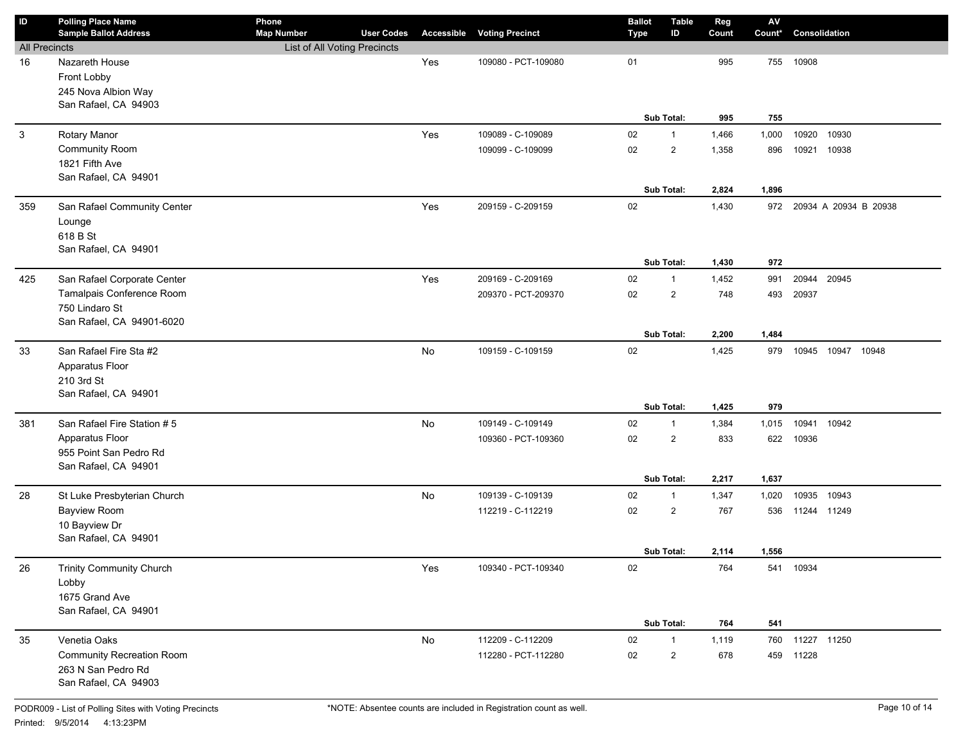| $\mathsf{ID}$        | <b>Polling Place Name</b><br><b>Sample Ballot Address</b>                                   | Phone<br><b>Map Number</b>   | <b>User Codes</b> | Accessible    | <b>Voting Precinct</b>                   | <b>Ballot</b><br><b>Type</b> | <b>Table</b><br>ID                           | Reg<br>Count            | ${\sf AV}$<br>Count*  | Consolidation                    |
|----------------------|---------------------------------------------------------------------------------------------|------------------------------|-------------------|---------------|------------------------------------------|------------------------------|----------------------------------------------|-------------------------|-----------------------|----------------------------------|
| <b>All Precincts</b> |                                                                                             | List of All Voting Precincts |                   |               |                                          |                              |                                              |                         |                       |                                  |
| 16                   | Nazareth House<br>Front Lobby<br>245 Nova Albion Way<br>San Rafael, CA 94903                |                              |                   | Yes           | 109080 - PCT-109080                      | 01                           |                                              | 995                     | 755                   | 10908                            |
|                      |                                                                                             |                              |                   |               |                                          |                              | Sub Total:                                   | 995                     | 755                   |                                  |
| 3                    | Rotary Manor<br>Community Room<br>1821 Fifth Ave<br>San Rafael, CA 94901                    |                              |                   | Yes           | 109089 - C-109089<br>109099 - C-109099   | 02<br>02                     | $\mathbf{1}$<br>$\overline{2}$<br>Sub Total: | 1,466<br>1,358<br>2,824 | 1,000<br>896<br>1,896 | 10920<br>10930<br>10921<br>10938 |
| 359                  | San Rafael Community Center<br>Lounge<br>618 B St<br>San Rafael, CA 94901                   |                              |                   | Yes           | 209159 - C-209159                        | 02                           | Sub Total:                                   | 1,430<br>1,430          | 972<br>972            | 20934 A 20934 B 20938            |
| 425                  | San Rafael Corporate Center                                                                 |                              |                   | Yes           | 209169 - C-209169                        | 02                           | $\mathbf{1}$                                 | 1,452                   | 991                   | 20944<br>20945                   |
|                      | Tamalpais Conference Room<br>750 Lindaro St<br>San Rafael, CA 94901-6020                    |                              |                   |               | 209370 - PCT-209370                      | 02                           | $\overline{2}$<br>Sub Total:                 | 748<br>2,200            | 493<br>1,484          | 20937                            |
| 33                   | San Rafael Fire Sta #2<br>Apparatus Floor<br>210 3rd St<br>San Rafael, CA 94901             |                              |                   | No            | 109159 - C-109159                        | 02                           | Sub Total:                                   | 1,425<br>1,425          | 979<br>979            | 10945 10947 10948                |
| 381                  | San Rafael Fire Station #5                                                                  |                              |                   | No            | 109149 - C-109149                        | 02                           | 1                                            | 1,384                   | 1,015                 | 10941<br>10942                   |
|                      | Apparatus Floor<br>955 Point San Pedro Rd<br>San Rafael, CA 94901                           |                              |                   |               | 109360 - PCT-109360                      | 02                           | $\overline{2}$                               | 833                     | 622                   | 10936                            |
|                      |                                                                                             |                              |                   |               |                                          |                              | Sub Total:                                   | 2,217                   | 1,637                 |                                  |
| 28                   | St Luke Presbyterian Church<br><b>Bayview Room</b><br>10 Bayview Dr<br>San Rafael, CA 94901 |                              |                   | No            | 109139 - C-109139<br>112219 - C-112219   | 02<br>02                     | 1<br>$\overline{2}$<br>Sub Total:            | 1,347<br>767<br>2,114   | 1,020<br>536<br>1,556 | 10935<br>10943<br>11244 11249    |
| 26                   | Trinity Community Church<br>Lobby<br>1675 Grand Ave<br>San Rafael, CA 94901                 |                              |                   | Yes           | 109340 - PCT-109340                      | 02                           | Sub Total:                                   | 764<br>764              | 541                   | 541 10934                        |
| 35                   | Venetia Oaks<br>Community Recreation Room<br>263 N San Pedro Rd<br>San Rafael, CA 94903     |                              |                   | $\mathsf{No}$ | 112209 - C-112209<br>112280 - PCT-112280 | $02\,$<br>02                 | $\mathbf{1}$<br>$\overline{2}$               | 1,119<br>678            |                       | 760 11227 11250<br>459 11228     |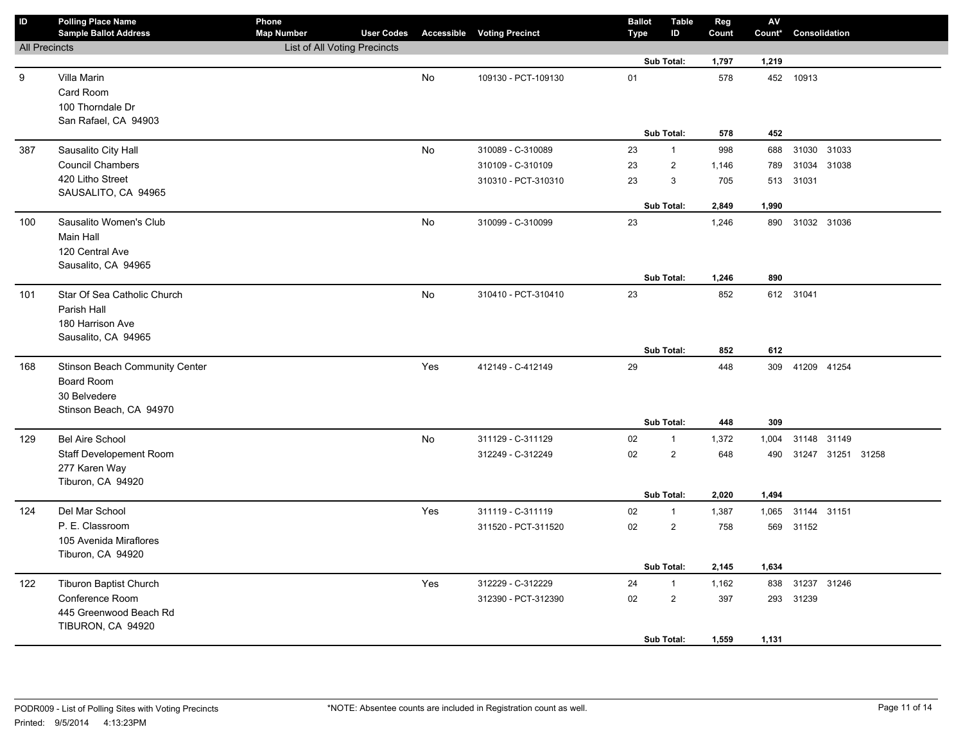| ID                   | <b>Polling Place Name</b><br><b>Sample Ballot Address</b> | Phone<br><b>Map Number</b>   | <b>User Codes</b> |     | <b>Accessible Voting Precinct</b> | <b>Ballot</b><br><b>Type</b> | <b>Table</b><br>ID | Reg<br>Count | ${\sf AV}$<br>Count* | Consolidation         |  |
|----------------------|-----------------------------------------------------------|------------------------------|-------------------|-----|-----------------------------------|------------------------------|--------------------|--------------|----------------------|-----------------------|--|
| <b>All Precincts</b> |                                                           | List of All Voting Precincts |                   |     |                                   |                              |                    |              |                      |                       |  |
|                      |                                                           |                              |                   |     |                                   |                              | Sub Total:         | 1,797        | 1,219                |                       |  |
| 9                    | Villa Marin                                               |                              |                   | No  | 109130 - PCT-109130               | 01                           |                    | 578          |                      | 452 10913             |  |
|                      | Card Room                                                 |                              |                   |     |                                   |                              |                    |              |                      |                       |  |
|                      | 100 Thorndale Dr                                          |                              |                   |     |                                   |                              |                    |              |                      |                       |  |
|                      | San Rafael, CA 94903                                      |                              |                   |     |                                   |                              |                    |              |                      |                       |  |
|                      |                                                           |                              |                   |     |                                   |                              | Sub Total:         | 578          | 452                  |                       |  |
| 387                  | Sausalito City Hall                                       |                              |                   | No  | 310089 - C-310089                 | 23                           | $\mathbf{1}$       | 998          | 688                  | 31030 31033           |  |
|                      | <b>Council Chambers</b>                                   |                              |                   |     | 310109 - C-310109                 | 23                           | $\overline{2}$     | 1,146        | 789                  | 31034 31038           |  |
|                      | 420 Litho Street                                          |                              |                   |     | 310310 - PCT-310310               | 23                           | $\mathsf 3$        | 705          | 513                  | 31031                 |  |
|                      | SAUSALITO, CA 94965                                       |                              |                   |     |                                   |                              |                    |              |                      |                       |  |
|                      |                                                           |                              |                   |     |                                   |                              | Sub Total:         | 2,849        | 1,990                |                       |  |
| 100                  | Sausalito Women's Club                                    |                              |                   | No  | 310099 - C-310099                 | 23                           |                    | 1,246        | 890                  | 31032 31036           |  |
|                      | Main Hall                                                 |                              |                   |     |                                   |                              |                    |              |                      |                       |  |
|                      | 120 Central Ave                                           |                              |                   |     |                                   |                              |                    |              |                      |                       |  |
|                      | Sausalito, CA 94965                                       |                              |                   |     |                                   |                              | Sub Total:         | 1,246        | 890                  |                       |  |
|                      |                                                           |                              |                   |     |                                   | 23                           |                    | 852          |                      |                       |  |
| 101                  | Star Of Sea Catholic Church<br>Parish Hall                |                              |                   | No  | 310410 - PCT-310410               |                              |                    |              |                      | 612 31041             |  |
|                      | 180 Harrison Ave                                          |                              |                   |     |                                   |                              |                    |              |                      |                       |  |
|                      | Sausalito, CA 94965                                       |                              |                   |     |                                   |                              |                    |              |                      |                       |  |
|                      |                                                           |                              |                   |     |                                   |                              | Sub Total:         | 852          | 612                  |                       |  |
| 168                  | Stinson Beach Community Center                            |                              |                   | Yes | 412149 - C-412149                 | 29                           |                    | 448          |                      | 309 41209 41254       |  |
|                      | Board Room                                                |                              |                   |     |                                   |                              |                    |              |                      |                       |  |
|                      | 30 Belvedere                                              |                              |                   |     |                                   |                              |                    |              |                      |                       |  |
|                      | Stinson Beach, CA 94970                                   |                              |                   |     |                                   |                              |                    |              |                      |                       |  |
|                      |                                                           |                              |                   |     |                                   |                              | Sub Total:         | 448          | 309                  |                       |  |
| 129                  | <b>Bel Aire School</b>                                    |                              |                   | No  | 311129 - C-311129                 | 02                           | $\mathbf{1}$       | 1,372        | 1,004                | 31148 31149           |  |
|                      | Staff Developement Room                                   |                              |                   |     | 312249 - C-312249                 | 02                           | $\overline{2}$     | 648          |                      | 490 31247 31251 31258 |  |
|                      | 277 Karen Way                                             |                              |                   |     |                                   |                              |                    |              |                      |                       |  |
|                      | Tiburon, CA 94920                                         |                              |                   |     |                                   |                              |                    |              |                      |                       |  |
|                      |                                                           |                              |                   |     |                                   |                              | Sub Total:         | 2,020        | 1,494                |                       |  |
| 124                  | Del Mar School                                            |                              |                   | Yes | 311119 - C-311119                 | 02                           | $\mathbf{1}$       | 1,387        | 1,065                | 31144 31151           |  |
|                      | P. E. Classroom                                           |                              |                   |     | 311520 - PCT-311520               | 02                           | $\overline{2}$     | 758          |                      | 569 31152             |  |
|                      | 105 Avenida Miraflores                                    |                              |                   |     |                                   |                              |                    |              |                      |                       |  |
|                      | Tiburon, CA 94920                                         |                              |                   |     |                                   |                              |                    |              |                      |                       |  |
|                      |                                                           |                              |                   |     |                                   |                              | Sub Total:         | 2,145        | 1,634                |                       |  |
| 122                  | Tiburon Baptist Church                                    |                              |                   | Yes | 312229 - C-312229                 | 24                           | $\mathbf{1}$       | 1,162        | 838                  | 31237 31246           |  |
|                      | Conference Room                                           |                              |                   |     | 312390 - PCT-312390               | 02                           | $\overline{2}$     | 397          |                      | 293 31239             |  |
|                      | 445 Greenwood Beach Rd<br>TIBURON, CA 94920               |                              |                   |     |                                   |                              |                    |              |                      |                       |  |
|                      |                                                           |                              |                   |     |                                   |                              | Sub Total:         | 1,559        | 1,131                |                       |  |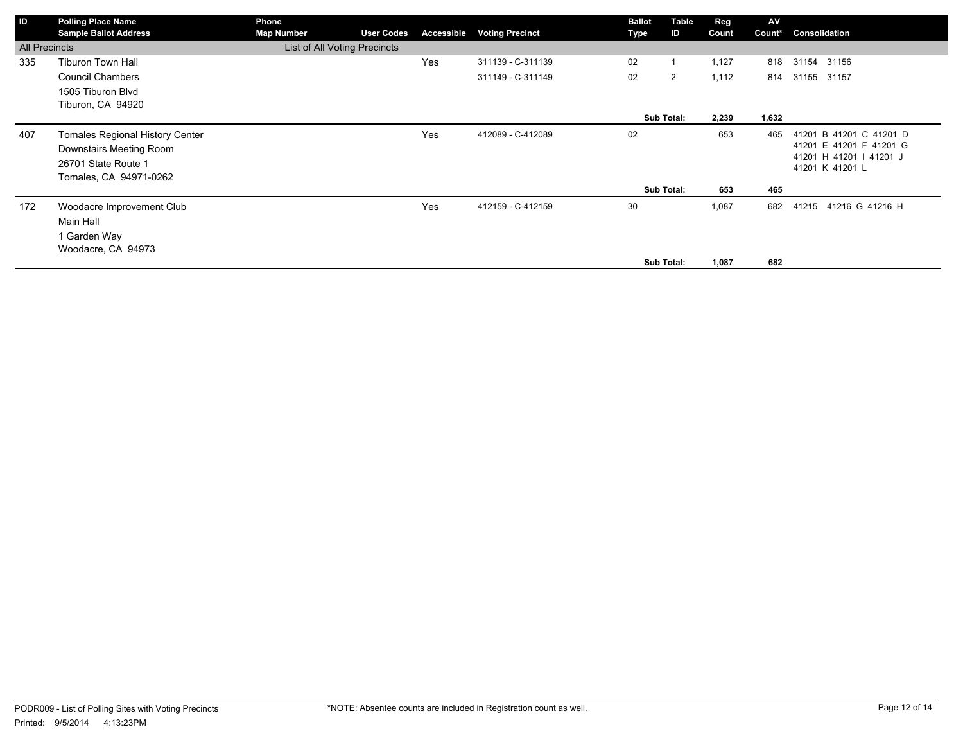| ID                   | <b>Polling Place Name</b><br><b>Sample Ballot Address</b> | Phone                                             |                   |            |                        | <b>Ballot</b> | Table      | Reg   | AV     | Consolidation                                      |
|----------------------|-----------------------------------------------------------|---------------------------------------------------|-------------------|------------|------------------------|---------------|------------|-------|--------|----------------------------------------------------|
| <b>All Precincts</b> |                                                           | <b>Map Number</b><br>List of All Voting Precincts | <b>User Codes</b> | Accessible | <b>Voting Precinct</b> | Type          | ID         | Count | Count* |                                                    |
|                      |                                                           |                                                   |                   |            |                        |               |            |       |        |                                                    |
| 335                  | <b>Tiburon Town Hall</b>                                  |                                                   |                   | Yes        | 311139 - C-311139      | 02            |            | 1,127 | 818    | 31154 31156                                        |
|                      | <b>Council Chambers</b>                                   |                                                   |                   |            | 311149 - C-311149      | 02            | 2          | 1,112 | 814    | 31155 31157                                        |
|                      | 1505 Tiburon Blvd                                         |                                                   |                   |            |                        |               |            |       |        |                                                    |
|                      | Tiburon, CA 94920                                         |                                                   |                   |            |                        |               |            |       |        |                                                    |
|                      |                                                           |                                                   |                   |            |                        |               | Sub Total: | 2,239 | 1,632  |                                                    |
| 407                  | <b>Tomales Regional History Center</b>                    |                                                   |                   | Yes        | 412089 - C-412089      | 02            |            | 653   | 465    | 41201 B 41201 C 41201 D                            |
|                      | Downstairs Meeting Room                                   |                                                   |                   |            |                        |               |            |       |        | 41201 E 41201 F 41201 G<br>41201 H 41201   41201 J |
|                      | 26701 State Route 1                                       |                                                   |                   |            |                        |               |            |       |        | 41201 K 41201 L                                    |
|                      | Tomales, CA 94971-0262                                    |                                                   |                   |            |                        |               |            |       |        |                                                    |
|                      |                                                           |                                                   |                   |            |                        |               | Sub Total: | 653   | 465    |                                                    |
| 172                  | Woodacre Improvement Club                                 |                                                   |                   | Yes        | 412159 - C-412159      | 30            |            | 1,087 | 682    | 41216 G 41216 H<br>41215                           |
|                      | Main Hall                                                 |                                                   |                   |            |                        |               |            |       |        |                                                    |
|                      | 1 Garden Way                                              |                                                   |                   |            |                        |               |            |       |        |                                                    |
|                      | Woodacre, CA 94973                                        |                                                   |                   |            |                        |               |            |       |        |                                                    |
|                      |                                                           |                                                   |                   |            |                        |               | Sub Total: | 1,087 | 682    |                                                    |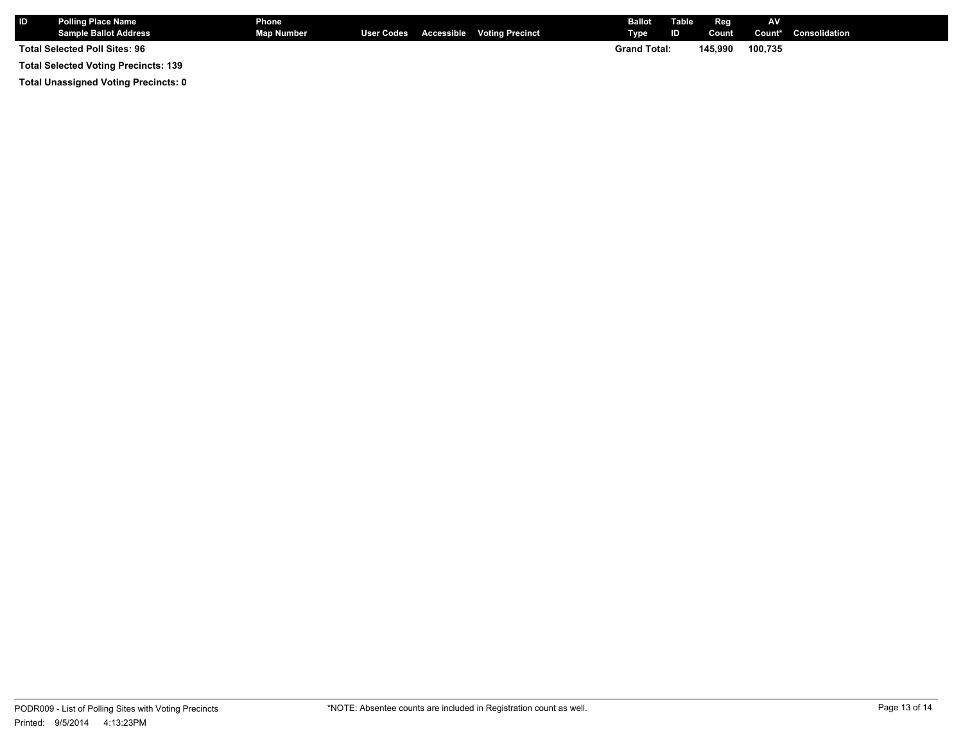| <b>IID</b>                                  | <b>Polling Place Name</b><br><b>Sample Ballot Address</b> | <b>Phone</b><br>Map Number |  |  | User Codes Accessible Voting Precinct | <b>Ballot</b> Table<br>Type | ID      | Reg<br>Count | <b>AV</b> | Count* Consolidation |
|---------------------------------------------|-----------------------------------------------------------|----------------------------|--|--|---------------------------------------|-----------------------------|---------|--------------|-----------|----------------------|
| Total Selected Poll Sites: 96               |                                                           |                            |  |  | <b>Grand Total:</b>                   |                             | 145.990 | 100.735      |           |                      |
| <b>Total Selected Voting Precincts: 139</b> |                                                           |                            |  |  |                                       |                             |         |              |           |                      |

**Total Unassigned Voting Precincts: 0**